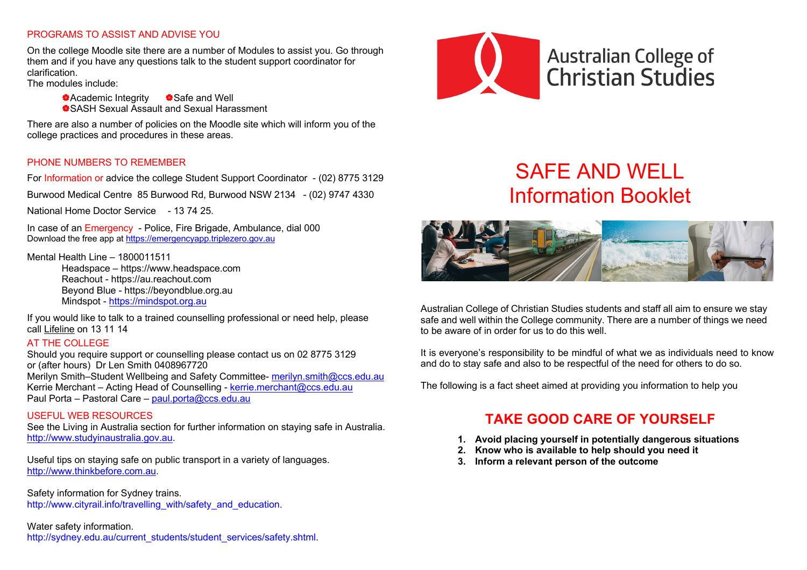#### PROGRAMS TO ASSIST AND ADVISE YOU

On the college Moodle site there are a number of Modules to assist you. Go through them and if you have any questions talk to the student support coordinator for clarification.

The modules include:

**\*Academic Integrity** \*Safe and Well |SASH Sexual Assault and Sexual Harassment

There are also a number of policies on the Moodle site which will inform you of the college practices and procedures in these areas.

#### PHONE NUMBERS TO REMEMBER

For Information or advice the college Student Support Coordinator - (02) 8775 3129

Burwood Medical Centre 85 Burwood Rd, Burwood NSW 2134 - (02) 9747 4330

National Home Doctor Service - 13 74 25.

In case of an Emergency - Police, Fire Brigade, Ambulance, dial 000 Download the free app at https://emergencyapp.triplezero.gov.au

Mental Health Line – 1800011511

Headspace – https://www.headspace.com Reachout - https://au.reachout.com Beyond Blue - https://beyondblue.org.au Mindspot - https://mindspot.org.au

If you would like to talk to a trained counselling professional or need help, please call Lifeline on 13 11 14

#### AT THE COLLEGE

Should you require support or counselling please contact us on 02 8775 3129 or (after hours) Dr Len Smith 0408967720 Merilyn Smith*–*Student Wellbeing and Safety Committee- merilyn.smith@ccs.edu.au Kerrie Merchant – Acting Head of Counselling - kerrie.merchant@ccs.edu.au Paul Porta – Pastoral Care – paul.porta@ccs.edu.au

#### USEFUL WEB RESOURCES

See the Living in Australia section for further information on staying safe in Australia. http://www.studyinaustralia.gov.au.

Useful tips on staying safe on public transport in a variety of languages. http://www.thinkbefore.com.au.

Safety information for Sydney trains. http://www.cityrail.info/travelling\_with/safety\_and\_education.

#### Water safety information.

http://sydney.edu.au/current\_students/student\_services/safety.shtml.



# SAFE AND WELL Information Booklet



Australian College of Christian Studies students and staff all aim to ensure we stay safe and well within the College community. There are a number of things we need to be aware of in order for us to do this well.

It is everyone's responsibility to be mindful of what we as individuals need to know and do to stay safe and also to be respectful of the need for others to do so.

The following is a fact sheet aimed at providing you information to help you

### **TAKE GOOD CARE OF YOURSELF**

- **1. Avoid placing yourself in potentially dangerous situations**
- **2. Know who is available to help should you need it**
- **3. Inform a relevant person of the outcome**